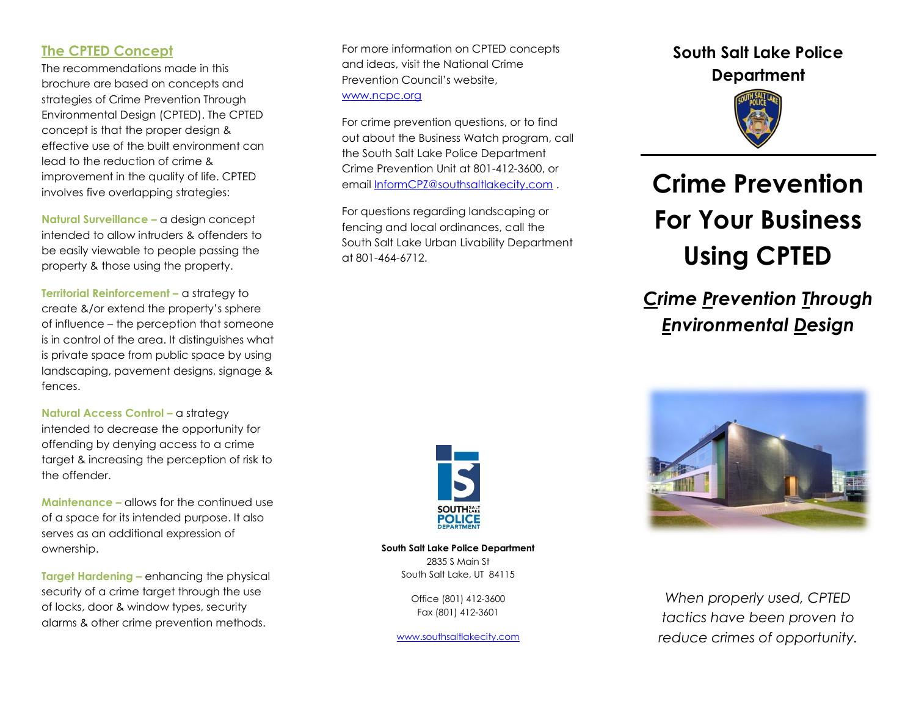## **The CPTED Concept**

The recommendations made in this brochure are based on concepts and strategies of Crime Prevention Through Environmental Design (CPTED). The CPTED concept is that the proper design & effective use of the built environment can lead to the reduction of crime & improvement in the quality of life. CPTED involves five overlapping strategies:

**Natural Surveillance –** a design concept intended to allow intruders & offenders to be easily viewable to people passing the property & those using the property.

**Territorial Reinforcement –** a strategy to create &/or extend the property's sphere of influence – the perception that someone is in control of the area. It distinguishes what is private space from public space by using landscaping, pavement designs, signage & fences.

**Natural Access Control – a strategy** intended to decrease the opportunity for offending by denying access to a crime target & increasing the perception of risk to the offender.

**Maintenance –** allows for the continued use of a space for its intended purpose. It also serves as an additional expression of ownership.

**Target Hardening –** enhancing the physical security of a crime target through the use of locks, door & window types, security alarms & other crime prevention methods.

For more information on CPTED concepts and ideas, visit the National Crime Prevention Council's website, [www.ncpc.org](http://www.ncpc.org/)

For crime prevention questions, or to find out about the Business Watch program, call the South Salt Lake Police Department Crime Prevention Unit at 801-412-3600, or emai[l InformCPZ@southsaltlakecity.com](mailto:InformCPZ@southsaltlakecity.com) .

For questions regarding landscaping or fencing and local ordinances, call the South Salt Lake Urban Livability Department at 801-464-6712.



**South Salt Lake Police Department** 2835 S Main St South Salt Lake, UT 84115

> Office (801) 412-3600 Fax (801) 412-3601

[www.southsaltlakecity.com](http://www.southsaltlakecity.com/)

## **South Salt Lake Police Department**



# **Crime Prevention For Your Business Using CPTED**

## *Crime Prevention Through Environmental Design*



*When properly used, CPTED tactics have been proven to reduce crimes of opportunity.*